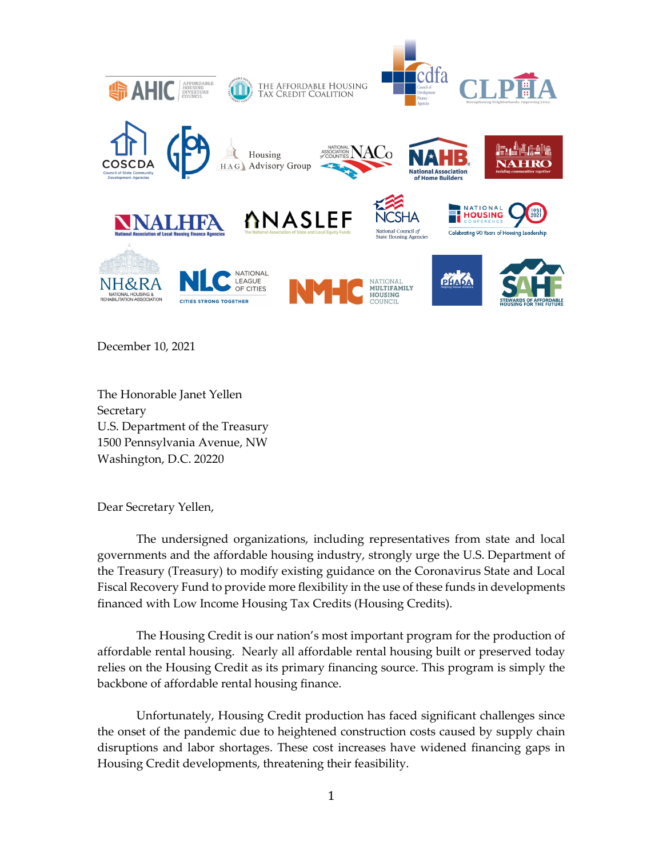

December 10, 2021

The Honorable Janet Yellen Secretary U.S. Department of the Treasury 1500 Pennsylvania Avenue, NW Washington, D.C. 20220

Dear Secretary Yellen,

The undersigned organizations, including representatives from state and local governments and the affordable housing industry, strongly urge the U.S. Department of the Treasury (Treasury) to modify existing guidance on the Coronavirus State and Local Fiscal Recovery Fund to provide more flexibility in the use of these funds in developments financed with Low Income Housing Tax Credits (Housing Credits).

The Housing Credit is our nation's most important program for the production of affordable rental housing. Nearly all affordable rental housing built or preserved today relies on the Housing Credit as its primary financing source. This program is simply the backbone of affordable rental housing finance.

Unfortunately, Housing Credit production has faced significant challenges since the onset of the pandemic due to heightened construction costs caused by supply chain disruptions and labor shortages. These cost increases have widened financing gaps in Housing Credit developments, threatening their feasibility.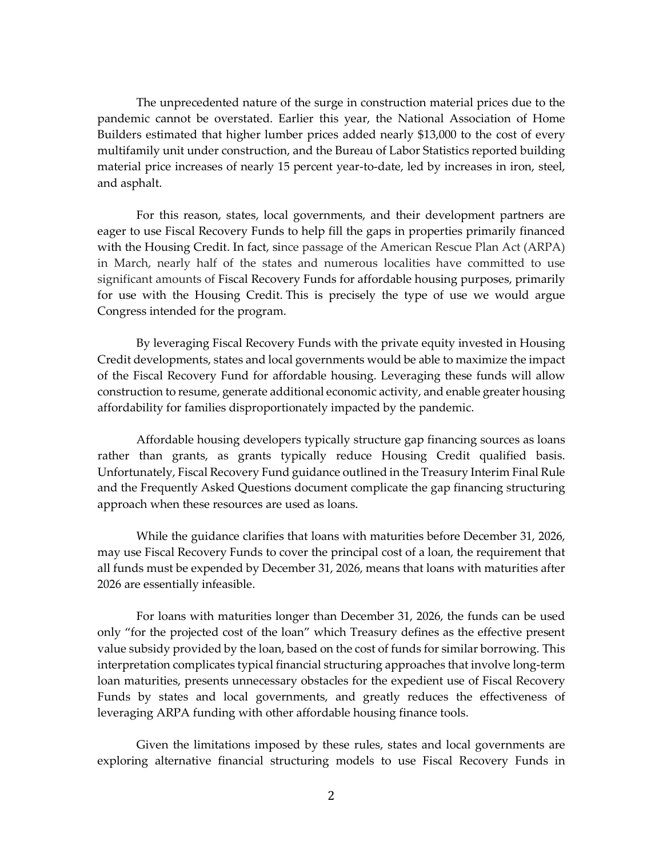The unprecedented nature of the surge in construction material prices due to the pandemic cannot be overstated. Earlier this year, the National Association of Home Builders estimated that higher lumber prices added nearly \$13,000 to the cost of every multifamily unit under construction, and the Bureau of Labor Statistics reported building material price increases of nearly 15 percent year-to-date, led by increases in iron, steel, and asphalt.

For this reason, states, local governments, and their development partners are eager to use Fiscal Recovery Funds to help fill the gaps in properties primarily financed with the Housing Credit. In fact, since passage of the American Rescue Plan Act (ARPA) in March, nearly half of the states and numerous localities have committed to use significant amounts of Fiscal Recovery Funds for affordable housing purposes, primarily for use with the Housing Credit. This is precisely the type of use we would argue Congress intended for the program.

By leveraging Fiscal Recovery Funds with the private equity invested in Housing Credit developments, states and local governments would be able to maximize the impact of the Fiscal Recovery Fund for affordable housing. Leveraging these funds will allow construction to resume, generate additional economic activity, and enable greater housing affordability for families disproportionately impacted by the pandemic.

Affordable housing developers typically structure gap financing sources as loans rather than grants, as grants typically reduce Housing Credit qualified basis. Unfortunately, Fiscal Recovery Fund guidance outlined in the Treasury Interim Final Rule and the Frequently Asked Questions document complicate the gap financing structuring approach when these resources are used as loans.

While the guidance clarifies that loans with maturities before December 31, 2026, may use Fiscal Recovery Funds to cover the principal cost of a loan, the requirement that all funds must be expended by December 31, 2026, means that loans with maturities after 2026 are essentially infeasible.

For loans with maturities longer than December 31, 2026, the funds can be used only "for the projected cost of the loan" which Treasury defines as the effective present value subsidy provided by the loan, based on the cost of funds for similar borrowing. This interpretation complicates typical financial structuring approaches that involve long-term loan maturities, presents unnecessary obstacles for the expedient use of Fiscal Recovery Funds by states and local governments, and greatly reduces the effectiveness of leveraging ARPA funding with other affordable housing finance tools.

Given the limitations imposed by these rules, states and local governments are exploring alternative financial structuring models to use Fiscal Recovery Funds in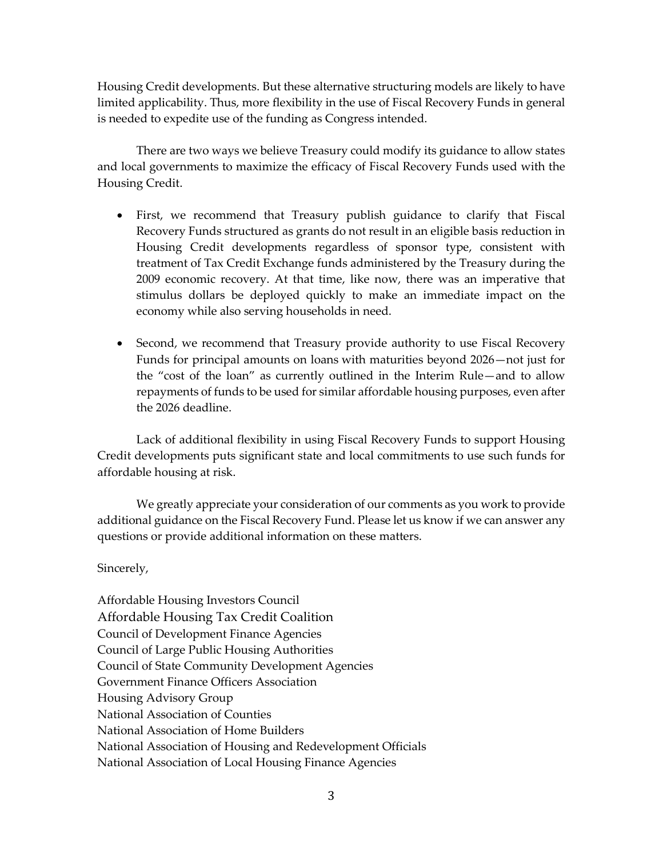Housing Credit developments. But these alternative structuring models are likely to have limited applicability. Thus, more flexibility in the use of Fiscal Recovery Funds in general is needed to expedite use of the funding as Congress intended.

There are two ways we believe Treasury could modify its guidance to allow states and local governments to maximize the efficacy of Fiscal Recovery Funds used with the Housing Credit.

- First, we recommend that Treasury publish guidance to clarify that Fiscal Recovery Funds structured as grants do not result in an eligible basis reduction in Housing Credit developments regardless of sponsor type, consistent with treatment of Tax Credit Exchange funds administered by the Treasury during the 2009 economic recovery. At that time, like now, there was an imperative that stimulus dollars be deployed quickly to make an immediate impact on the economy while also serving households in need.
- Second, we recommend that Treasury provide authority to use Fiscal Recovery Funds for principal amounts on loans with maturities beyond 2026—not just for the "cost of the loan" as currently outlined in the Interim Rule—and to allow repayments of funds to be used for similar affordable housing purposes, even after the 2026 deadline.

Lack of additional flexibility in using Fiscal Recovery Funds to support Housing Credit developments puts significant state and local commitments to use such funds for affordable housing at risk.

We greatly appreciate your consideration of our comments as you work to provide additional guidance on the Fiscal Recovery Fund. Please let us know if we can answer any questions or provide additional information on these matters.

## Sincerely,

Affordable Housing Investors Council Affordable Housing Tax Credit Coalition Council of Development Finance Agencies Council of Large Public Housing Authorities Council of State Community Development Agencies Government Finance Officers Association Housing Advisory Group National Association of Counties National Association of Home Builders National Association of Housing and Redevelopment Officials National Association of Local Housing Finance Agencies